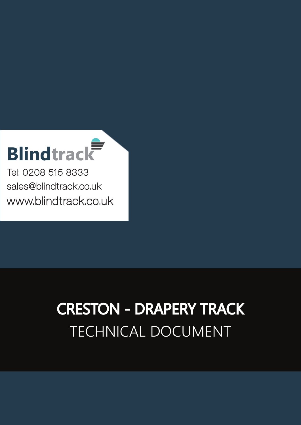# **Blindtrack**

Tel: 0208 515 8333 [sales@blindtrack.co.uk](mailto:sales%40blindtrack.co.uk?subject=) [www.blindtrack.co.uk](http://www.blindtrack.co.uk)

## TECHNICAL DOCUMENT CRESTON - DRAPERY TRACK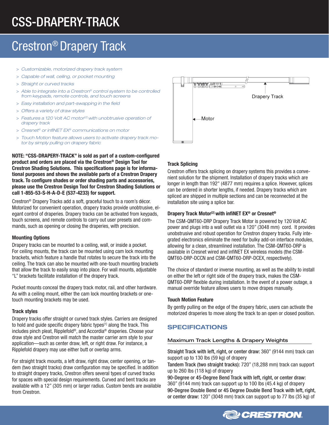## CSS-DRAPERY-TRACK

### Crestron® Drapery Track

- > *Customizable, motorized drapery track system*
- > *Capable of wall, ceiling, or pocket mounting*
- > *Straight or curved tracks*
- > *Able to integrate into a Crestron® control system to be controlled from keypads, remote controls, and touch screens*
- > *Easy installation and part-swapping in the field*
- > *Offers a variety of draw styles*
- > *Features a 120 Volt AC motor[2] with unobtrusive operation of drapery track*
- > *Cresnet® or infiNET EX® communications on motor*
- > *Touch Motion feature allows users to activate drapery track motor by simply pulling on drapery fabric*

NOTE: "CSS-DRAPERY-TRACK" is sold as part of a custom-configured product and orders are placed via the Crestron® Design Tool for Crestron Shading Solutions. This specifications page is for informational purposes and shows the available parts of a Crestron Drapery track. To configure shades or order shading parts and accessories, please use the Crestron Design Tool for Crestron Shading Solutions or call 1-855-53-S-H-A-D-E (537-4233) for support.

Crestron® Drapery Tracks add a soft, graceful touch to a room's décor. Motorized for convenient operation, drapery tracks provide unobtrusive, elegant control of draperies. Drapery tracks can be activated from keypads, touch screens, and remote controls to carry out user presets and commands, such as opening or closing the draperies, with precision.

#### Mounting Options

Drapery tracks can be mounted to a ceiling, wall, or inside a pocket. For ceiling mounts, the track can be mounted using cam lock mounting brackets, which feature a handle that rotates to secure the track into the ceiling. The track can also be mounted with one-touch mounting brackets that allow the track to easily snap into place. For wall mounts, adjustable "L" brackets facilitate installation of the drapery track.

Pocket mounts conceal the drapery track motor, rail, and other hardware. As with a ceiling mount, either the cam lock mounting brackets or onetouch mounting brackets may be used.

#### Track styles

Drapery tracks offer straight or curved track styles. Carriers are designed to hold and guide specific drapery fabric types<sup>[1]</sup> along the track. This includes pinch pleat, Ripplefold®, and Accordia® draperies. Choose your draw style and Crestron will match the master carrier arm style to your application—such as center draw, left, or right draw. For instance, a Ripplefold drapery may use either butt or overlap arms.

For straight track mounts, a left draw, right draw, center opening, or tandem (two straight tracks) draw configuration may be specified. In addition to straight drapery tracks, Crestron offers several types of curved tracks for spaces with special design requirements. Curved and bent tracks are available with a 12" (305 mm) or larger radius. Custom bends are available from Crestron.



#### Track Splicing

Crestron offers track splicing on drapery systems this provides a convenient solution for the shipment. Installation of drapery tracks which are longer in length than 192" (4877 mm) requires a splice. However, splices can be ordered in shorter lengths, if needed. Drapery tracks which are spliced are shipped in multiple sections and can be reconnected at the installation site using a splice bar.

#### Drapery Track Motor<sup>[2]</sup> with infiNET EX<sup>®</sup> or Cresnet<sup>®</sup>

The CSM-QMT60-DRP Drapery Track Motor is powered by 120 Volt AC power and plugs into a wall outlet via a 120" (3048 mm) cord. It provides unobstrusive and robust operation for Crestron drapery tracks. Fully integrated electronics eliminate the need for bulky add-on interface modules, allowing for a clean, streamlined installation. The CSM-QMT60-DRP is available in Cresnet wired and infiNET EX wireless models (the CSM-QMT60-DRP-DCCN and CSM-QMT60-DRP-DCEX, respectively).

The choice of standard or inverse mounting, as well as the ability to install on either the left or right side of the drapery track, makes the CSM-QMT60-DRP flexible during installation. In the event of a power outage, a manual override feature allows users to move drapes manually.

#### Touch Motion Feature

By gently pulling on the edge of the drapery fabric, users can activate the motorized draperies to move along the track to an open or closed position.

#### SPECIFICATIONS

#### Maximum Track Lengths & Drapery Weights

Straight Track with left, right, or center draw: 360" (9144 mm) track can support up to 130 lbs (59 kg) of drapery

Tandem Track (two straight tracks): 720" (18,288 mm) track can support up to 260 lbs (118 kg) of drapery

90-Degree or 45-Degree Bend Track with left, right, or center draw: 360" (9144 mm) track can support up to 100 lbs (45.4 kg) of drapery 90-Degree Double Bend or 45 Degree Double Bend Track with left, right, or center draw: 120" (3048 mm) track can support up to 77 lbs (35 kg) of